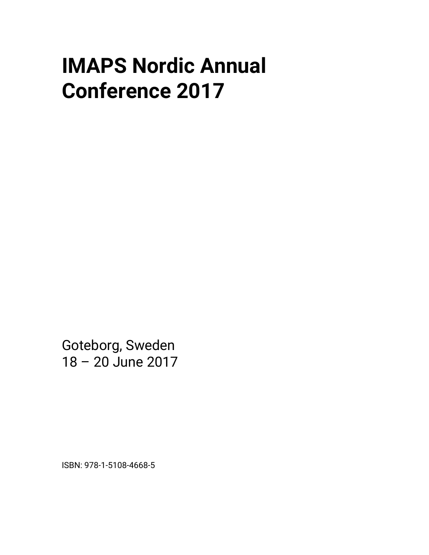## **IMAPS Nordic Annual Conference 2017**

Goteborg, Sweden 18 – 20 June 2017

ISBN: 978-1-5108-4668-5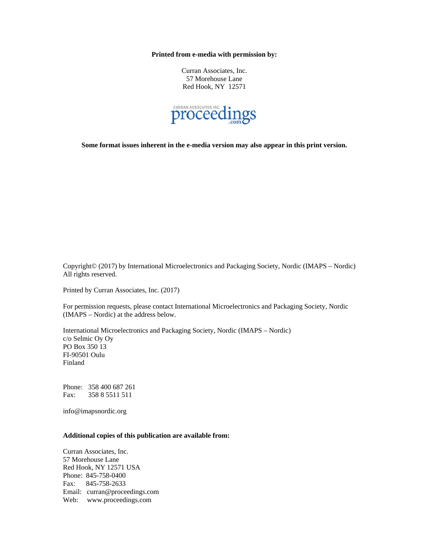**Printed from e-media with permission by:** 

Curran Associates, Inc. 57 Morehouse Lane Red Hook, NY 12571



**Some format issues inherent in the e-media version may also appear in this print version.** 

Copyright© (2017) by International Microelectronics and Packaging Society, Nordic (IMAPS – Nordic) All rights reserved.

Printed by Curran Associates, Inc. (2017)

For permission requests, please contact International Microelectronics and Packaging Society, Nordic (IMAPS – Nordic) at the address below.

International Microelectronics and Packaging Society, Nordic (IMAPS – Nordic) c/o Selmic Oy Oy PO Box 350 13 FI-90501 Oulu Finland

Phone: 358 400 687 261 Fax: 358 8 5511 511

info@imapsnordic.org

## **Additional copies of this publication are available from:**

Curran Associates, Inc. 57 Morehouse Lane Red Hook, NY 12571 USA Phone: 845-758-0400 Fax: 845-758-2633 Email: curran@proceedings.com Web: www.proceedings.com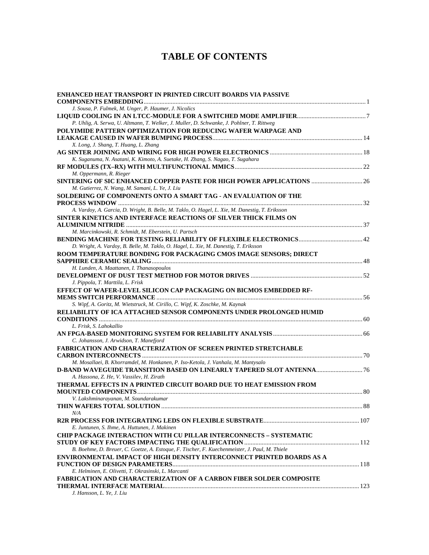## **TABLE OF CONTENTS**

| ENHANCED HEAT TRANSPORT IN PRINTED CIRCUIT BOARDS VIA PASSIVE                                                             |     |
|---------------------------------------------------------------------------------------------------------------------------|-----|
|                                                                                                                           |     |
| J. Sousa, P. Fulmek, M. Unger, P. Haumer, J. Nicolics                                                                     |     |
|                                                                                                                           |     |
| P. Uhlig, A. Serwa, U. Altmann, T. Welker, J. Muller, D. Schwanke, J. Pohlner, T. Rittweg                                 |     |
| POLYIMIDE PATTERN OPTIMIZATION FOR REDUCING WAFER WARPAGE AND                                                             |     |
|                                                                                                                           |     |
| X. Long, J. Shang, T. Huang, L. Zhang                                                                                     |     |
|                                                                                                                           |     |
| K. Suganuma, N. Asatani, K. Kimoto, A. Suetake, H. Zhang, S. Nagao, T. Sugahara                                           |     |
|                                                                                                                           |     |
| M. Oppermann, R. Rieger                                                                                                   |     |
| SINTERING OF SIC ENHANCED COPPER PASTE FOR HIGH POWER APPLICATIONS  26<br>M. Gutierrez, N. Wang, M. Samani, L. Ye, J. Liu |     |
| SOLDERING OF COMPONENTS ONTO A SMART TAG - AN EVALUATION OF THE                                                           |     |
|                                                                                                                           |     |
| A. Vardoy, A. Garcia, D. Wright, B. Belle, M. Taklo, O. Hagel, L. Xie, M. Danestig, T. Eriksson                           |     |
| SINTER KINETICS AND INTERFACE REACTIONS OF SILVER THICK FILMS ON                                                          |     |
|                                                                                                                           |     |
| M. Marcinkowski, R. Schmidt, M. Eberstein, U. Partsch                                                                     |     |
|                                                                                                                           |     |
| D. Wright, A. Vardoy, B. Belle, M. Taklo, O. Hagel, L. Xie, M. Danestig, T. Eriksson                                      |     |
| ROOM TEMPERATURE BONDING FOR PACKAGING CMOS IMAGE SENSORS; DIRECT                                                         |     |
|                                                                                                                           |     |
| H. Lunden, A. Maattanen, I. Thanasopoulos                                                                                 |     |
|                                                                                                                           |     |
| J. Pippola, T. Marttila, L. Frisk                                                                                         |     |
| EFFECT OF WAFER-LEVEL SILICON CAP PACKAGING ON BICMOS EMBEDDED RF-                                                        |     |
|                                                                                                                           |     |
| S. Wipf, A. Goritz, M. Wietstruck, M. Cirillo, C. Wipf, K. Zoschke, M. Kaynak                                             |     |
| <b>RELIABILITY OF ICA ATTACHED SENSOR COMPONENTS UNDER PROLONGED HUMID</b>                                                |     |
|                                                                                                                           |     |
| L. Frisk, S. Lahokallio                                                                                                   |     |
|                                                                                                                           |     |
| C. Johansson, J. Arwidson, T. Manefjord                                                                                   |     |
| <b>FABRICATION AND CHARACTERIZATION OF SCREEN PRINTED STRETCHABLE</b>                                                     |     |
| M. Mosallaei, B. Khorramdel, M. Honkanen, P. Iso-Ketola, J. Vanhala, M. Mantysalo                                         |     |
|                                                                                                                           |     |
| A. Hassona, Z. He, V. Vassilev, H. Zirath                                                                                 |     |
| THERMAL EFFECTS IN A PRINTED CIRCUIT BOARD DUE TO HEAT EMISSION FROM                                                      |     |
|                                                                                                                           |     |
| V. Lakshminarayanan, M. Soundarakumar                                                                                     |     |
|                                                                                                                           | .88 |
| N/A                                                                                                                       |     |
|                                                                                                                           |     |
| E. Juntunen, S. Ihme, A. Huttunen, J. Makinen                                                                             |     |
| <b>CHIP PACKAGE INTERACTION WITH CU PILLAR INTERCONNECTS - SYSTEMATIC</b>                                                 |     |
|                                                                                                                           |     |
| B. Boehme, D. Breuer, C. Goetze, A. Estoque, F. Tischer, F. Kuechenmeister, J. Paul, M. Thiele                            |     |
| ENVIRONMENTAL IMPACT OF HIGH DENSITY INTERCONNECT PRINTED BOARDS AS A                                                     |     |
|                                                                                                                           |     |
| E. Helminen, E. Olivetti, T. Okrasinski, L. Marcanti                                                                      |     |
| <b>FABRICATION AND CHARACTERIZATION OF A CARBON FIBER SOLDER COMPOSITE</b>                                                |     |
|                                                                                                                           |     |
| J. Hansson, L. Ye, J. Liu                                                                                                 |     |